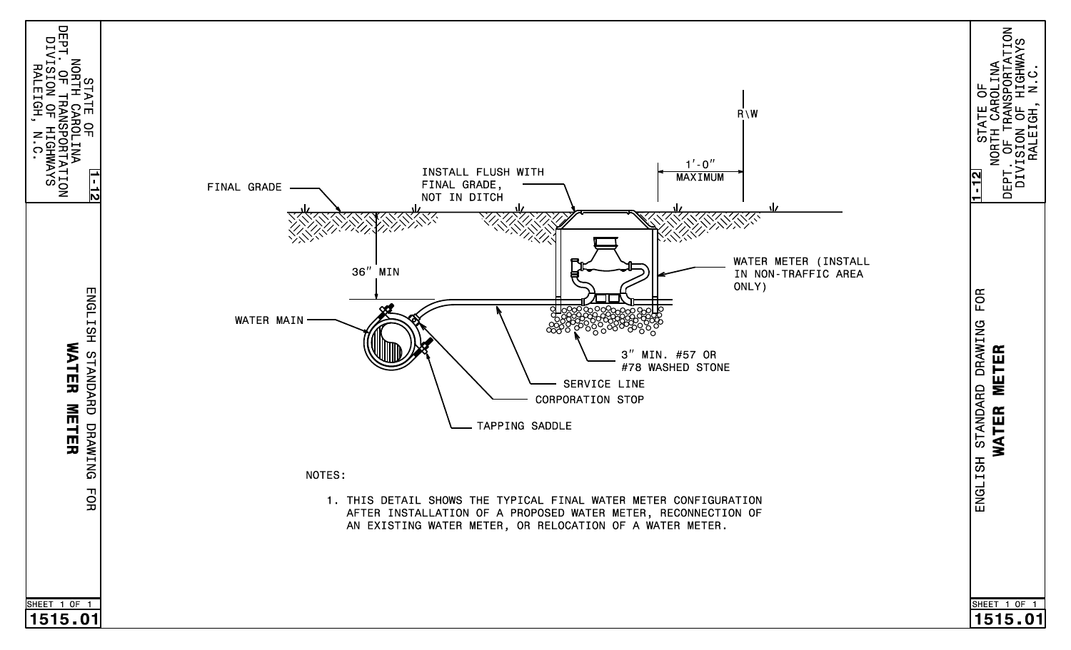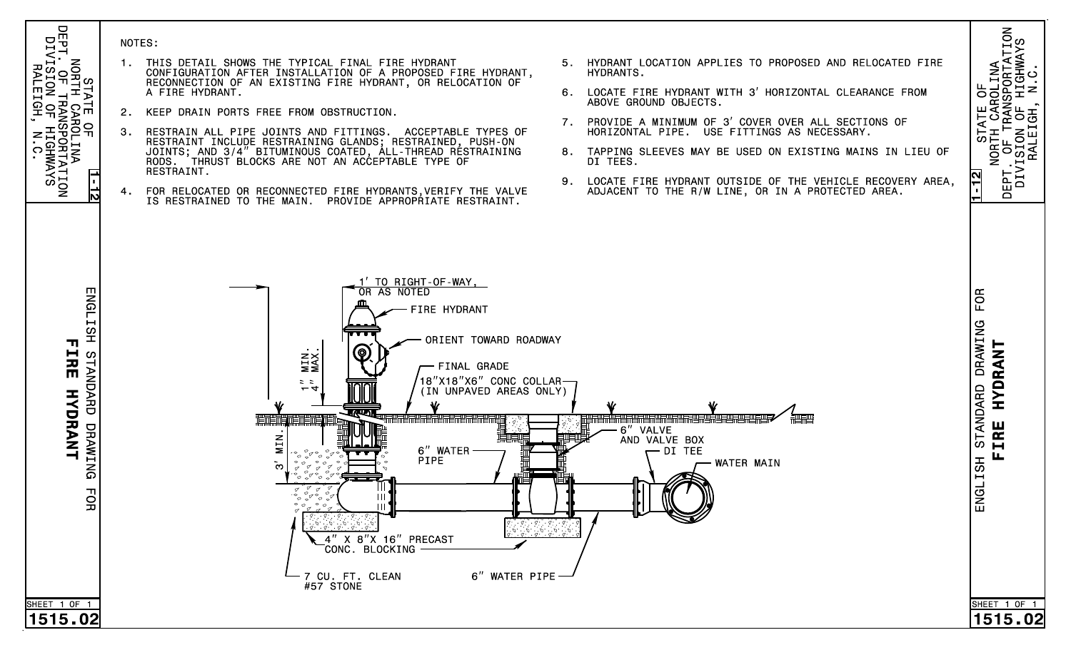

SION OF<br>RALEIGH,

D

I<br>IVISION<br>IVISION

 $\overline{0}$ 

SPURIAII<br>HIGHWAYS<br>SYAWH

 $\overline{\mathsf{S}}$ 

: HO<br>!IGHN<br>: HO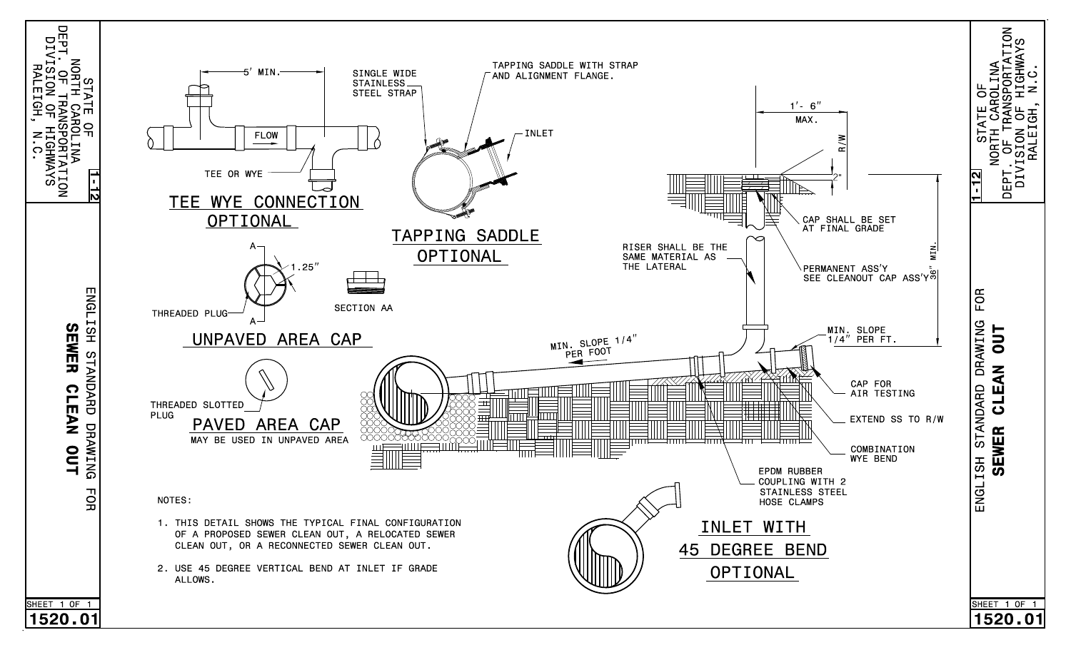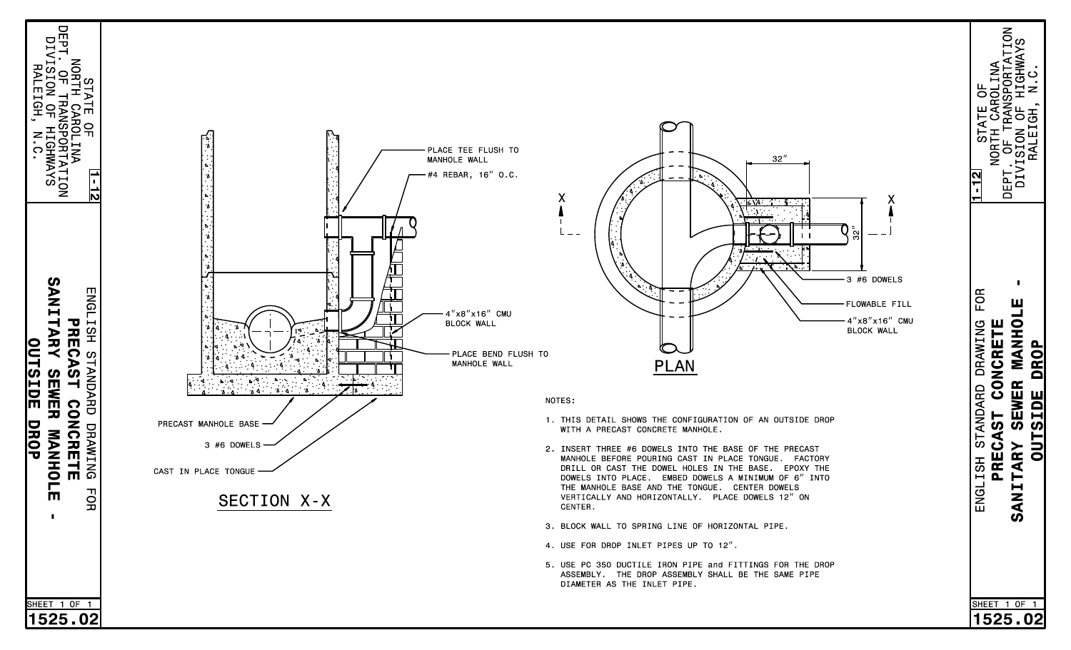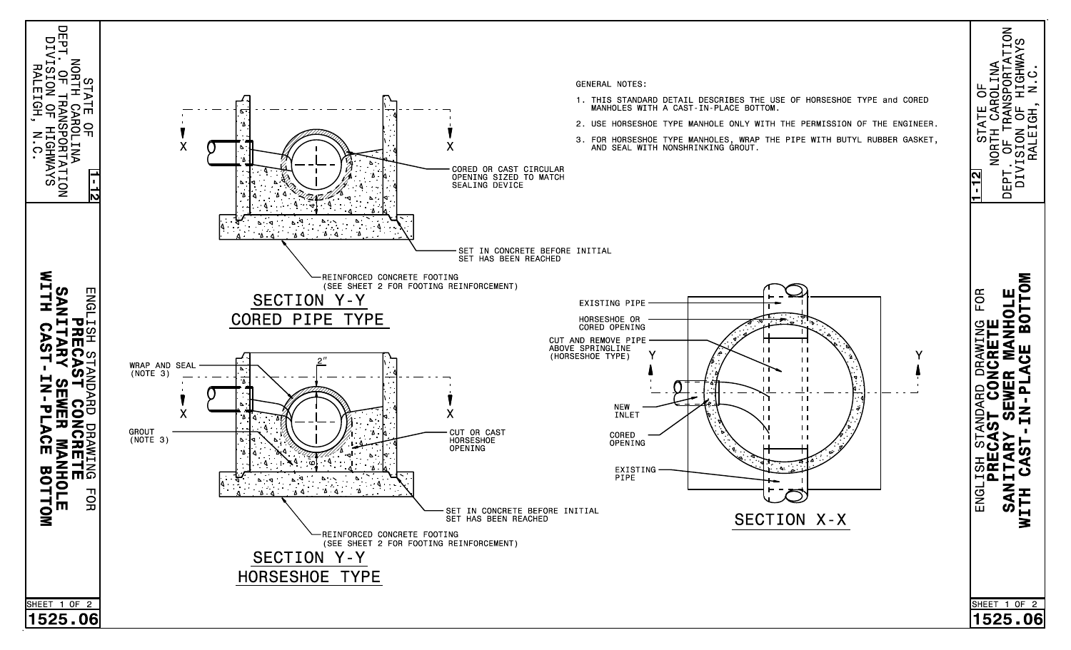